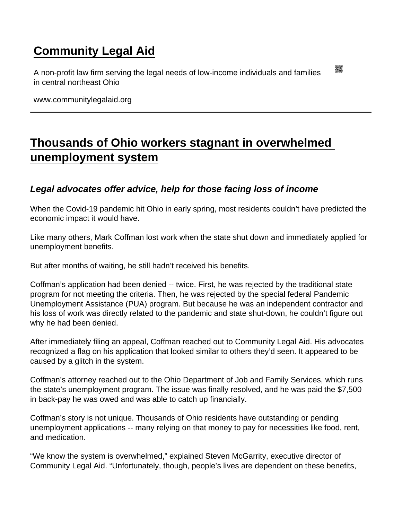## [Community Legal Aid](https://www.communitylegalaid.org/)

A non-profit law firm serving the legal needs of low-income individuals and families in central northeast Ohio

www.communitylegalaid.org

## [Thousands of Ohio workers stagnant in overwhelmed](https://www.communitylegalaid.org/node/1402/thousands-ohio-workers-stagnant-overwhelmed-unemployment-system)  [unemployment system](https://www.communitylegalaid.org/node/1402/thousands-ohio-workers-stagnant-overwhelmed-unemployment-system)

Legal advocates offer advice, help for those facing loss of income

When the Covid-19 pandemic hit Ohio in early spring, most residents couldn't have predicted the economic impact it would have.

Like many others, Mark Coffman lost work when the state shut down and immediately applied for unemployment benefits.

But after months of waiting, he still hadn't received his benefits.

Coffman's application had been denied -- twice. First, he was rejected by the traditional state program for not meeting the criteria. Then, he was rejected by the special federal Pandemic Unemployment Assistance (PUA) program. But because he was an independent contractor and his loss of work was directly related to the pandemic and state shut-down, he couldn't figure out why he had been denied.

After immediately filing an appeal, Coffman reached out to Community Legal Aid. His advocates recognized a flag on his application that looked similar to others they'd seen. It appeared to be caused by a glitch in the system.

Coffman's attorney reached out to the Ohio Department of Job and Family Services, which runs the state's unemployment program. The issue was finally resolved, and he was paid the \$7,500 in back-pay he was owed and was able to catch up financially.

Coffman's story is not unique. Thousands of Ohio residents have outstanding or pending unemployment applications -- many relying on that money to pay for necessities like food, rent, and medication.

"We know the system is overwhelmed," explained Steven McGarrity, executive director of Community Legal Aid. "Unfortunately, though, people's lives are dependent on these benefits,